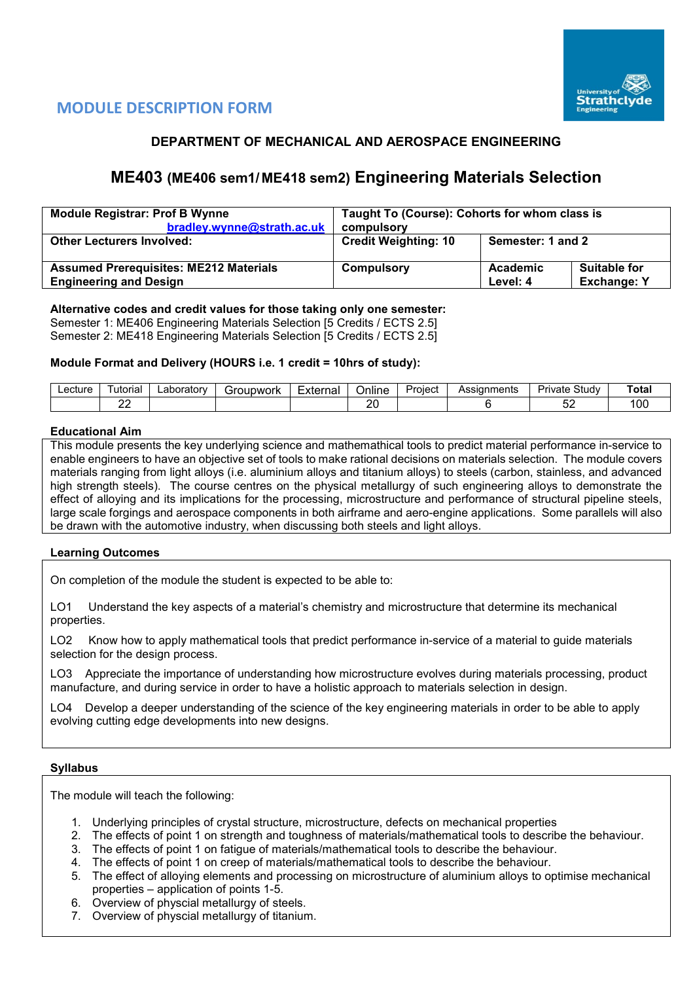

# **MODULE DESCRIPTION FORM**

# **DEPARTMENT OF MECHANICAL AND AEROSPACE ENGINEERING**

# **ME403 (ME406 sem1/ ME418 sem2) Engineering Materials Selection**

| <b>Module Registrar: Prof B Wynne</b><br>bradley.wynne@strath.ac.uk            | Taught To (Course): Cohorts for whom class is<br>compulsory |                                                                   |  |  |  |  |
|--------------------------------------------------------------------------------|-------------------------------------------------------------|-------------------------------------------------------------------|--|--|--|--|
| <b>Other Lecturers Involved:</b>                                               | <b>Credit Weighting: 10</b><br>Semester: 1 and 2            |                                                                   |  |  |  |  |
| <b>Assumed Prerequisites: ME212 Materials</b><br><b>Engineering and Design</b> | Compulsory                                                  | <b>Suitable for</b><br>Academic<br><b>Exchange: Y</b><br>Level: 4 |  |  |  |  |

# **Alternative codes and credit values for those taking only one semester:**

Semester 1: ME406 Engineering Materials Selection [5 Credits / ECTS 2.5] Semester 2: ME418 Engineering Materials Selection [5 Credits / ECTS 2.5]

# **Module Format and Delivery (HOURS i.e. 1 credit = 10hrs of study):**

| ∟ecture | utorıal      | ∟aborator∨ | iroupwork<br>ו די | External | $\cdots$<br>Online | -<br>Project | Assianments | Study<br>Private | Total |
|---------|--------------|------------|-------------------|----------|--------------------|--------------|-------------|------------------|-------|
|         | $\sim$<br>-- |            |                   |          | or<br>-            |              |             | $-$<br>ັ         | 100   |

#### **Educational Aim**

This module presents the key underlying science and mathemathical tools to predict material performance in-service to enable engineers to have an objective set of tools to make rational decisions on materials selection. The module covers materials ranging from light alloys (i.e. aluminium alloys and titanium alloys) to steels (carbon, stainless, and advanced high strength steels). The course centres on the physical metallurgy of such engineering alloys to demonstrate the effect of alloying and its implications for the processing, microstructure and performance of structural pipeline steels, large scale forgings and aerospace components in both airframe and aero-engine applications. Some parallels will also be drawn with the automotive industry, when discussing both steels and light alloys.

#### **Learning Outcomes**

On completion of the module the student is expected to be able to:

LO1 Understand the key aspects of a material's chemistry and microstructure that determine its mechanical properties.

LO2 Know how to apply mathematical tools that predict performance in-service of a material to guide materials selection for the design process.

LO3 Appreciate the importance of understanding how microstructure evolves during materials processing, product manufacture, and during service in order to have a holistic approach to materials selection in design.

LO4 Develop a deeper understanding of the science of the key engineering materials in order to be able to apply evolving cutting edge developments into new designs.

### **Syllabus**

The module will teach the following:

- 1. Underlying principles of crystal structure, microstructure, defects on mechanical properties
- 2. The effects of point 1 on strength and toughness of materials/mathematical tools to describe the behaviour.
- 3. The effects of point 1 on fatigue of materials/mathematical tools to describe the behaviour.
- 4. The effects of point 1 on creep of materials/mathematical tools to describe the behaviour.
- 5. The effect of alloying elements and processing on microstructure of aluminium alloys to optimise mechanical properties – application of points 1-5.
- 6. Overview of physcial metallurgy of steels.
- 7. Overview of physcial metallurgy of titanium.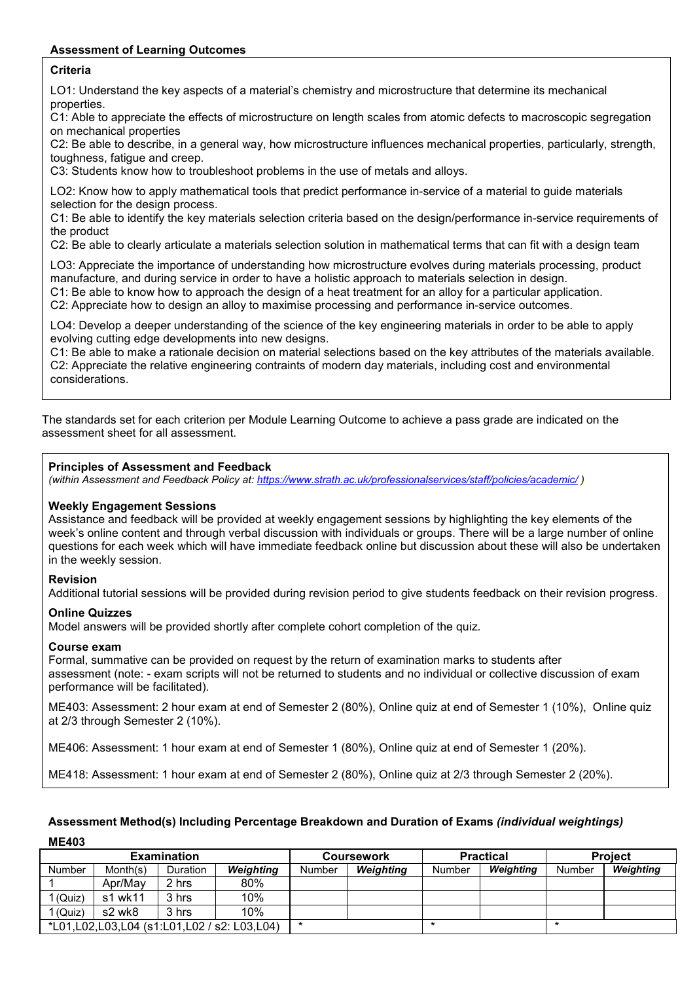# **Assessment of Learning Outcomes**

# **Criteria**

LO1: Understand the key aspects of a material's chemistry and microstructure that determine its mechanical properties.

C1: Able to appreciate the effects of microstructure on length scales from atomic defects to macroscopic segregation on mechanical properties

C2: Be able to describe, in a general way, how microstructure influences mechanical properties, particularly, strength, toughness, fatigue and creep.

C3: Students know how to troubleshoot problems in the use of metals and alloys.

LO2: Know how to apply mathematical tools that predict performance in-service of a material to guide materials selection for the design process.

C1: Be able to identify the key materials selection criteria based on the design/performance in-service requirements of the product

C2: Be able to clearly articulate a materials selection solution in mathematical terms that can fit with a design team

LO3: Appreciate the importance of understanding how microstructure evolves during materials processing, product manufacture, and during service in order to have a holistic approach to materials selection in design.

C1: Be able to know how to approach the design of a heat treatment for an alloy for a particular application.

C2: Appreciate how to design an alloy to maximise processing and performance in-service outcomes.

LO4: Develop a deeper understanding of the science of the key engineering materials in order to be able to apply evolving cutting edge developments into new designs.

C1: Be able to make a rationale decision on material selections based on the key attributes of the materials available. C2: Appreciate the relative engineering contraints of modern day materials, including cost and environmental considerations.

The standards set for each criterion per Module Learning Outcome to achieve a pass grade are indicated on the assessment sheet for all assessment.

#### **Principles of Assessment and Feedback**

*(within Assessment and Feedback Policy at: <https://www.strath.ac.uk/professionalservices/staff/policies/academic/> )*

## **Weekly Engagement Sessions**

Assistance and feedback will be provided at weekly engagement sessions by highlighting the key elements of the week's online content and through verbal discussion with individuals or groups. There will be a large number of online questions for each week which will have immediate feedback online but discussion about these will also be undertaken in the weekly session.

#### **Revision**

Additional tutorial sessions will be provided during revision period to give students feedback on their revision progress.

#### **Online Quizzes**

Model answers will be provided shortly after complete cohort completion of the quiz.

## **Course exam**

Formal, summative can be provided on request by the return of examination marks to students after assessment (note: - exam scripts will not be returned to students and no individual or collective discussion of exam performance will be facilitated).

ME403: Assessment: 2 hour exam at end of Semester 2 (80%), Online quiz at end of Semester 1 (10%), Online quiz at 2/3 through Semester 2 (10%).

ME406: Assessment: 1 hour exam at end of Semester 1 (80%), Online quiz at end of Semester 1 (20%).

ME418: Assessment: 1 hour exam at end of Semester 2 (80%), Online quiz at 2/3 through Semester 2 (20%).

# **Assessment Method(s) Including Percentage Breakdown and Duration of Exams** *(individual weightings)* **ME403**

| <b>Examination</b> |          |          |                                                   | <b>Coursework</b> |           |        | <b>Practical</b> | <b>Project</b> |           |
|--------------------|----------|----------|---------------------------------------------------|-------------------|-----------|--------|------------------|----------------|-----------|
| Number             | Month(s) | Duration | Weighting                                         | Number            | Weighting | Number | Weighting        | Number         | Weighting |
|                    | Apr/May  | 2 hrs    | 80%                                               |                   |           |        |                  |                |           |
| 1 (Quiz)           | s1 wk11  | 3 hrs    | 10%                                               |                   |           |        |                  |                |           |
| 1 (Quiz)           | s2 wk8   | 3 hrs    | 10%                                               |                   |           |        |                  |                |           |
|                    |          |          | *L01, L02, L03, L04 (s1: L01, L02 / s2: L03, L04) | $\ast$            |           |        |                  |                |           |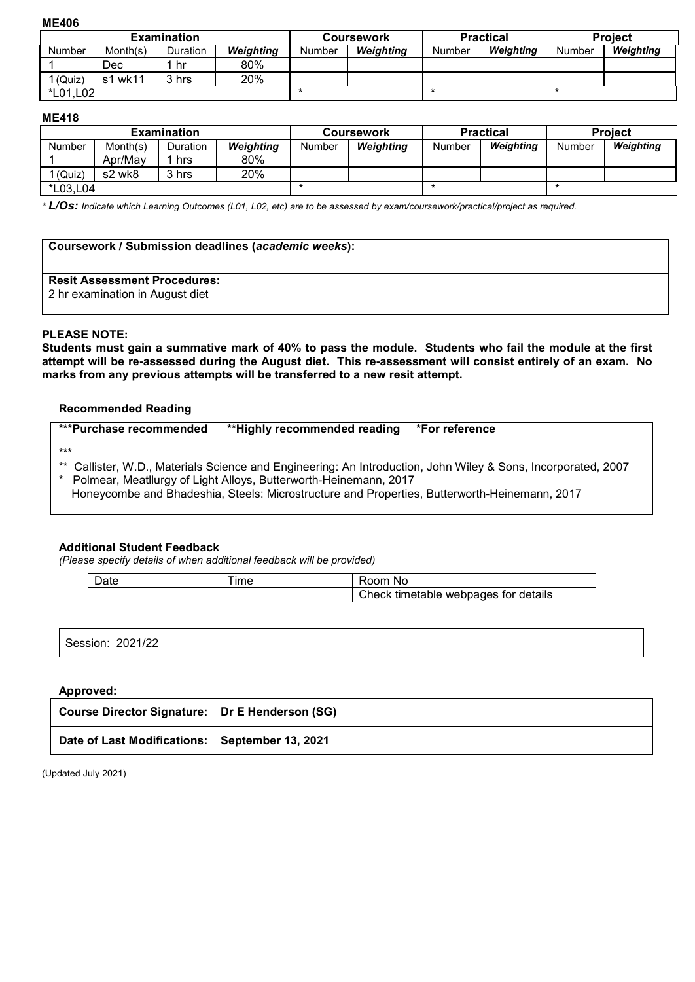#### **ME406**

|               |          | <b>Examination</b> |           |        | <b>Practical</b><br><b>Coursework</b> |        |           | <b>Project</b> |           |  |
|---------------|----------|--------------------|-----------|--------|---------------------------------------|--------|-----------|----------------|-----------|--|
| <b>Number</b> | Month(s) | Duration           | Weighting | Number | Weighting                             | Number | Weighting | Number         | Weighting |  |
|               | Dec      | hr                 | 80%       |        |                                       |        |           |                |           |  |
| 1 (Quiz)      | s1 wk11  | 3 hrs              | 20%       |        |                                       |        |           |                |           |  |
| *L01,L02      |          |                    |           |        |                                       |        |           |                |           |  |

### **ME418**

|               |          | <b>Examination</b> |                  | <b>Coursework</b> |           |        | <b>Practical</b> | <b>Project</b> |           |
|---------------|----------|--------------------|------------------|-------------------|-----------|--------|------------------|----------------|-----------|
| <b>Number</b> | Month(s) | <b>Duration</b>    | <b>Weighting</b> | Number            | Weighting | Number | Weighting        | Number         | Weighting |
|               | Apr/May  | hrs                | 80%              |                   |           |        |                  |                |           |
| (Quiz)        | s2 wk8   | 3 hrs              | 20%              |                   |           |        |                  |                |           |
| *L03,L04      |          |                    |                  |                   | $\ast$    |        |                  |                |           |

*\* L/Os: Indicate which Learning Outcomes (L01, L02, etc) are to be assessed by exam/coursework/practical/project as required.*

| Coursework / Submission deadlines (academic weeks):                    |  |
|------------------------------------------------------------------------|--|
| <b>Resit Assessment Procedures:</b><br>2 hr examination in August diet |  |

## **PLEASE NOTE:**

**Students must gain a summative mark of 40% to pass the module. Students who fail the module at the first attempt will be re-assessed during the August diet. This re-assessment will consist entirely of an exam. No marks from any previous attempts will be transferred to a new resit attempt.**

#### **Recommended Reading**

|                                                                                                                                                                                                                                                                                         | ***Purchase recommended | **Highly recommended reading | *For reference |
|-----------------------------------------------------------------------------------------------------------------------------------------------------------------------------------------------------------------------------------------------------------------------------------------|-------------------------|------------------------------|----------------|
| $***$<br>Callister, W.D., Materials Science and Engineering: An Introduction, John Wiley & Sons, Incorporated, 2007<br>Polmear, Meatllurgy of Light Alloys, Butterworth-Heinemann, 2017<br>Honeycombe and Bhadeshia, Steels: Microstructure and Properties, Butterworth-Heinemann, 2017 |                         |                              |                |

## **Additional Student Feedback**

*(Please specify details of when additional feedback will be provided)*

| <b>Ime</b> | nom<br>NC                                     |
|------------|-----------------------------------------------|
|            | :heck<br>webpages<br>for details<br>timetable |

Session: 2021/22

# **Approved:**

| Course Director Signature: Dr E Henderson (SG) |  |
|------------------------------------------------|--|
| Date of Last Modifications: September 13, 2021 |  |

(Updated July 2021)